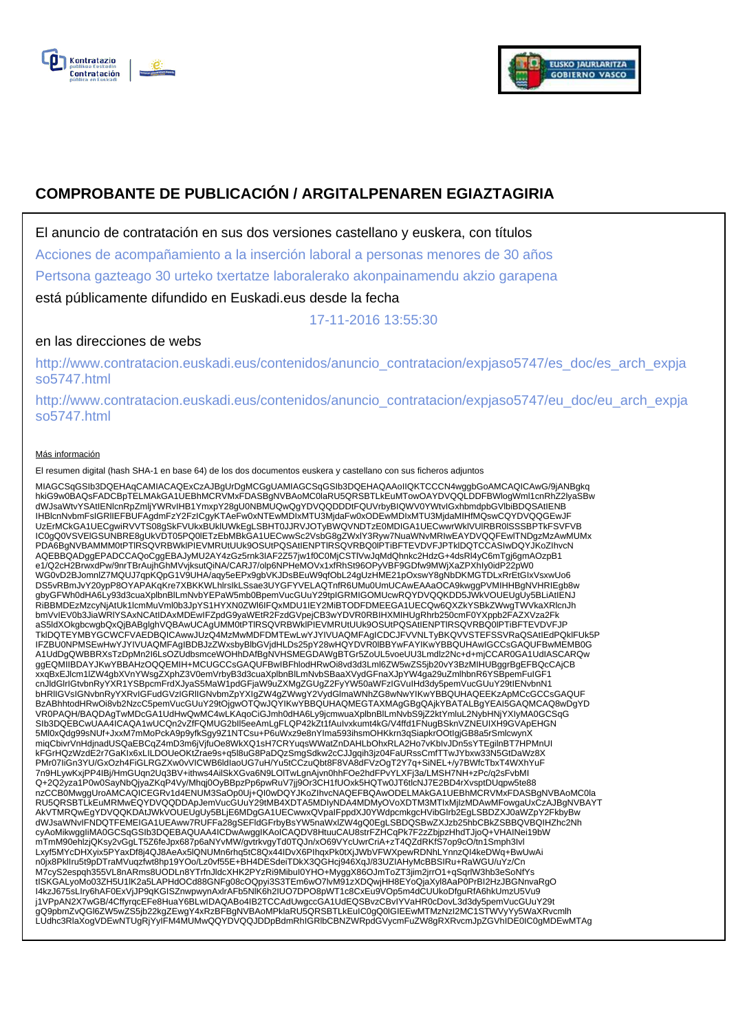



# **COMPROBANTE DE PUBLICACIÓN / ARGITALPENAREN EGIAZTAGIRIA**

El anuncio de contratación en sus dos versiones castellano y euskera, con títulos

Acciones de acompañamiento a la inserción laboral a personas menores de 30 años

Pertsona gazteago 30 urteko txertatze laboralerako akonpainamendu akzio garapena

está públicamente difundido en Euskadi.eus desde la fecha

17-11-2016 13:55:30

## en las direcciones de webs

http://www.contratacion.euskadi.eus/contenidos/anuncio\_contratacion/expjaso5747/es\_doc/es\_arch\_expja so5747.html

http://www.contratacion.euskadi.eus/contenidos/anuncio\_contratacion/expjaso5747/eu\_doc/eu\_arch\_expja so5747.html

#### Más información

El resumen digital (hash SHA-1 en base 64) de los dos documentos euskera y castellano con sus ficheros adjuntos

MIAGCSqGSIb3DQEHAqCAMIACAQExCzAJBgUrDgMCGgUAMIAGCSqGSIb3DQEHAQAAoIIQKTCCCN4wggbGoAMCAQICAwG/9jANBgkq<br>hkiG9w0BAQsFADCBpTELMAkGA1UEBhMcRVMxFDASBgNVBAoMC0laRU5QR5BTLkEuMTowOAYDVQQLDDFBWIogIWmI1cnRhZ2lyaSBw<br>dWJsaWtvYSAtIENIcnR UzErMCkGA1UECgwiRVVTS08gSkFVUkxBUklUWkEgLSBHT0JJRVJOTyBWQVNDTzE0MDIGA1UECwwrWklVUlRBR0lSSSBPTkFSVFVB IC0gQ0VSVElGSUNBRE8gUkVDT05PQ0lETzEbMBkGA1UECwwSc2VsbG8gZWxlY3Ryw7NuaWNvMRIwEAYDVQQFEwlTNDgzMzAwMUMx PDA6BgNVBAMMM0tPTlRSQVRBWklPIEVMRUtUUk9OSUtPQSAtIENPTlRSQVRBQ0lPTiBFTEVDVFJPTklDQTCCASIwDQYJKoZIhvcN AQEBBQADggEPADCCAQoCggEBAJyMU2AY4zGz5rnk3IAF2Z57jw1f0C0MjCSTlVwJqMdQhnkc2HdzG+4dsRl4yC6mTgj6gmAOzpB1 e1/Q2cH2BrwxdPw/9nrTBrAujhGhMVvjksutQiNA/CARJ7/olp6NPHeMOVx1xfRhSt96OPyVBF9GDfw9MWjXaZPXhIy0idP22pW0<br>WG0vD2BJomnlZ7MQUJ7qpKQpG1V9UHA/aqy5eEPx9gbVKJDsBEuW9qfObL24gUzHME21pOxswY8gNbDKMGTDLxRrEtGIxVsxwUo6 DS5vRBmJvY20ypP8OYAPAKqKre7XBKKWLhIrsIkLSsae3UYGFYVELAQTnfR6UMu0UmUCAwEAAaOCA9kwggPVMIHHBgNVHRIEgb8w<br>gbyGFWh0dHA6Ly93d3cuaXplbnBlLmNvbYEPaW5mb0BpemVucGUuY29tpIGRMIGOMUcwRQYDVQQKDD5JWkVOUEUgUy5BLiAtIENJ<br>RiBBMDEzMzcyNjAtUk1I bmVvIEV0b3JiaWRlYSAxNCAtIDAxMDEwIFZpdG9yaWEtR2FzdGVpejCB3wYDVR0RBIHXMIHUgRhrb250cmF0YXppb2FAZXVza2Fk aS5ldXOkgbcwgbQxQjBABglghVQBAwUCAgUMM0tPTlRSQVRBWklPIEVMRUtUUk9OSUtPQSAtIENPTlRSQVRBQ0lPTiBFTEVDVFJP TklDQTEYMBYGCWCFVAEDBQICAwwJUzQ4MzMwMDFDMTEwLwYJYIVUAQMFAgICDCJFVVNLTyBKQVVSTEFSSVRaQSAtIEdPQklFUk5P IFZBU0NPMSEwHwYJYIVUAQMFAgIBDBJzZWxsbyBlbGVjdHLDs25pY28wHQYDVR0lBBYwFAYIKwYBBQUHAwIGCCsGAQUFBwMEMB0G<br>A1UdDgQWBBRXsTzDpMn2l6LsOZUdbsmceWOHhDAfBgNVHSMEGDAWgBTGr5ZoUL5voeUU3Lmdlz2Nc+d+mjCCAR0GA1UdIASCARQw<br>ggEQMIIBDAYJKwYBBAHz xxqBxEJlcm1lZW4gbXVnYWsgZXphZ3V0emVrbyB3d3cuaXplbnBlLmNvbSBaaXVydGFnaXJpYW4ga29uZmlhbnR6YSBpemFuIGF1 cnJldGlrIGtvbnRyYXR1YSBpcmFrdXJyaS5MaW1pdGFjaW9uZXMgZGUgZ2FyYW50aWFzIGVuIHd3dy5pemVucGUuY29tIENvbnN1 bHRlIGVsIGNvbnRyYXRvIGFudGVzIGRlIGNvbmZpYXIgZW4gZWwgY2VydGlmaWNhZG8wNwYIKwYBBQUHAQEEKzApMCcGCCsGAQUF BzABhhtodHRwOi8vb2NzcC5pemVucGUuY29tOjgwOTQwJQYIKwYBBQUHAQMEGTAXMAgGBgQAjkYBATALBgYEAI5GAQMCAQ8wDgYD VR0PAQH/BAQDAgTwMDcGA1UdHwQwMC4wLKAqoCiGJmh0dHA6Ly9jcmwuaXplbnBlLmNvbS9jZ2ktYmluL2NybHNjYXIyMA0GCSqG SIb3DQEBCwUAA4ICAQA1wUCQn2vZfFQMUG2bll5eeAmLgFLQP42kZt1fAuIvxkumt4kG/V4ffd1FNugBSknVZNEUIXH9GVApEHGN<br>5Ml0xQdg99sNUf+JxxM7mMoPckA9p9yfkSgy9Z1NTCsu+P6uWxz9e8nYIma593ihsmOHKkrn3qSiapkrOOtIgjGB8a5rSmlcwynX miqCbivrVnHdjnadUSQaEBCqZ4mD3m6jVjfuOe8WkXQ1sH7CRYuqsWWatZnDAHLbOhxRLA2Ho7vKbIvJDn5sYTEgilnBT7HPMnUI kFGrHQzWzdE2r7GaKIx6xLILDOUeOKtZrae9s+q5l8uG8PaDQzSmgSdkw2cCJJgqih3jz04FaURssCmfTTwJYbxw33N5GtDaWz8X PMr07IiGn3YU/GxOzh4FiGLRGZXw0vVICWB6ldIaoUG7uH/Yu5tCCzuQbt8F8VA8dFVzOgT2Y7q+SiNEL+/y7BWfcTbxT4WXhYuF 7n9HLywKxjPP4IBj/HmGUqn2Uq3BV+ithws4AilSkXGva6N9LOlTwLgnAjvn0hhFOe2hdFPvYLXFj3a/LMSH7NH+zPc/q2sFvbMI Q+2Q2yza1P0w0SayNbQjyaZKqP4Vy/Mhqj0OyBBpzPp6pwRuV7jj9Or3CH1fUOxk5HQTw0JT6tlcNJ7E2BD4rXvsptDUqpw5te88 nzCCB0MwggUroAMCAQICEGRv1d4ENUM3SaOp0Uj+QI0wDQYJKoZIhvcNAQEFBQAwODELMAkGA1UEBhMCRVMxFDASBgNVBAoMC0la RU5QRSBTLkEuMRMwEQYDVQQDDApJemVucGUuY29tMB4XDTA5MDIyNDA4MDMyOVoXDTM3MTIxMjIzMDAwMFowgaUxCzAJBgNVBAYT AkVTMRQwEgYDVQQKDAtJWkVOUEUgUy5BLjE6MDgGA1UECwwxQVpaIFppdXJ0YWdpcmkgcHVibGlrb2EgLSBDZXJ0aWZpY2FkbyBw<br>dWJsaWNvIFNDQTFEMEIGA1UEAww7RUFFa28gSEFIdGFrbyBsYW5naWxlZW4gQ0EgLSBDQSBwZXJzb25hbCBkZSBBQVBQIHZhc2Nh<br>cyAoMikwggliMA0GCSqG mTmM90ehlzjQKsy2vGgLT5Z6feJpx687p6aNYvMW/gvtrkvgyTd0TQJn/xO69VYcUwrCriA+zT4QZdRKfS7op9cO/tn1Smph3Ivl Lxyf5MYcDHXyix5PYaxDf8j4QJ8AeAx5lQNUMn6rhq5tC8Qx44IDvX6PIhqxPk0tXjJWbVFWXpewRDNhLYnnzQI4keDWq+BwUwAi n0jx8PklIru5t9pDTraMVuqzfwt8hp19YOo/Lz0vf55E+BH4DESdeiTDkX3QGHcj946XqJ/83UZIAHyMcBBSIRu+RaWGU/uYz/Cn M7cyS2espqh355VL8nARms8UODLn8YTrfnJldcXHK2PYzRi9MibuI0YHO+MyggX86OJmToZT3jim2jrrO1+qSqrlW3hb3eSoNfYs<br>tISKGALyoMo03ZH5U1IK2a5LAPHdOCd88GNFg08cOQpyi3S3TEm6wO7lvM91zXDQwjHH8EYoQjaXyI8AaP0PrBI2HzJBGNnvaRgO<br>I4kzJ675sLIry6hAF0Ex j1VPpAN2X7wGB/4CffyrqcEFe8HuaY6BLwIDAQABo4IB2TCCAdUwgccGA1UdEQSBvzCBvIYVaHR0cDovL3d3dy5pemVucGUuY29t<br>gQ9pbmZvQGI6ZW5wZS5jb22kgZEwgY4xRzBFBgNVBAoMPklaRU5QRSBTLkEuIC0gQ0IGIEEwMTMzNzI2MC1STWVyYy5WaXRvcmlh<br>LUdhc3RlaXogVDEwNTUg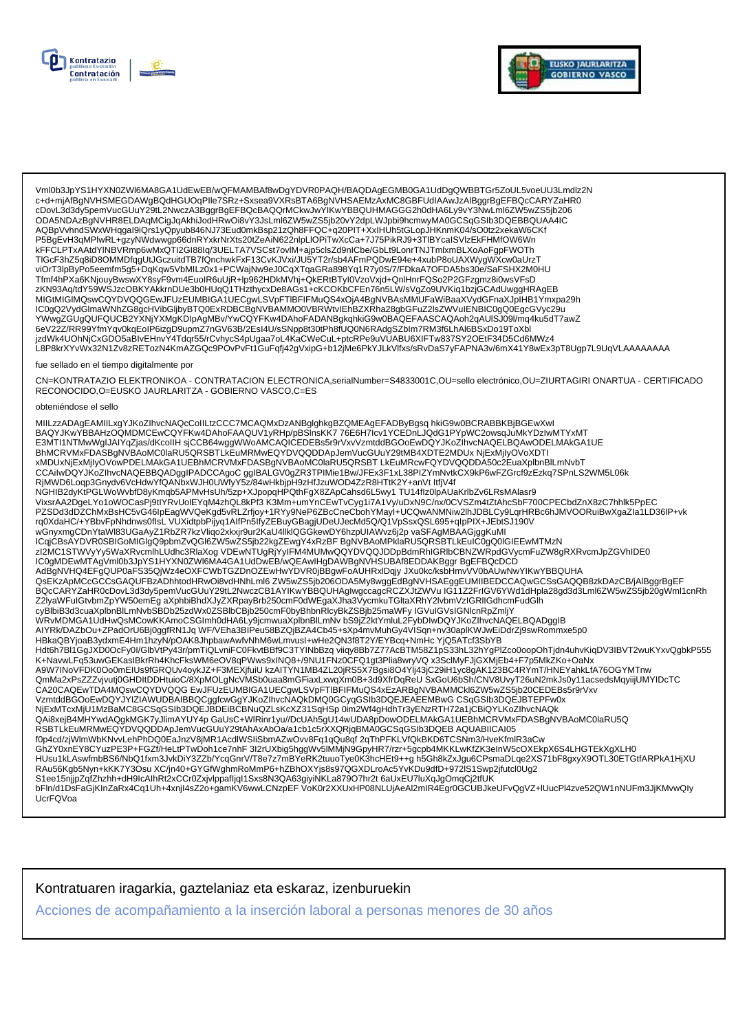



Vml0b3JpYS1HYXN0ZWl6MA8GA1UdEwEB/wQFMAMBAf8wDgYDVR0PAQH/BAQDAgEGMB0GA1UdDgQWBBTGr5ZoUL5voeUU3Lmdlz2N<br>c+d+mjAfBgNVHSMEGDAWgBQdHGUOqPIle7SRz+Sxsea9VXRsBTA6BgNVHSAEMzAxMC8GBFUdIAAwJzAlBggrBgEFBQcCARYZaHR0 cDovL3d3dy5pemVucGUuY29tL2NwczA3BggrBgEFBQcBAQQrMCkwJwYIKwYBBQUHMAGGG2h0dHA6Ly9vY3NwLml6ZW5wZS5jb206 ODA5NDAzBgNVHR8ELDAqMCigJqAkhiJodHRwOi8vY3JsLml6ZW5wZS5jb20vY2dpLWJpbi9hcmwyMA0GCSqGSIb3DQEBBQUAA4IC AQBpVvhndSWxWHqgal9iQrs1yQpyub846NJ73Eud0mkBsp21zQh8FFQC+q20PIT+XxIHUh5tGLopJHKnmK04/sO0tz2xekaW6CKf P5BgEvH3qMPlwRL+gzyNWdwwgp66dnRYxkrNrXts20tZeAiN622nlpLlOPiTwXcCa+7J75PikRJ9+3TlBYcaISVlzEkFHMfOW6Wn kFFCLPTxAAtdYlNBVRmp6wMxQTI2GI88Iq/3UELTA7VSCst7ovlM+ajp5clsZd9nICbe/GbLt9LonrTNJTmlxmBLXoAoFgpFWOTh TIGcF3hZ5q8iD8OMMDfqgUtJGczuitdTB7fQnchwkFxF13CvKJVxi/JU5YT2r/sb4AFmPQDwE94e+4xubP8oUAXWygWXcw0aUrzT 11001 SILDgunDocument.pdg.hDqkqw5VbMILz0x1+PCWajNw9eJ0CqXTqaGRa898Yq1R7y0S/7/FDkaA7OFDA5bs30e/SaFSHX2M0HU<br>Tfmf4hPXa6KNjouyBwswXY8syF9vm4EuoIR6uUjR+lp962HDkMVhj+QkERtBTyI0VzoVxjd+QnlHnrFQSo2P2GFzgmz8i0wsVFsD zKN93Aq/tdY59WSJzcOBKYAKkrnDUe3b0HUqQ1THzthycxDe8AGs1+cKCOKbCFEn76n5LW/sVgZo9UVKiq1bzjGCAdUwggHRAgEB MIGtMIGIMQswCQYDVQQGEwJFUzEUMBIGA1UECgwLSVpFTIBFIFMuQS4xOjA4BgNVBAsMMUFaWiBaaXVydGFnaXJpIHB1Ymxpa29h IC0gQ2VydGlmaWNhZG8gcHVibGljbyBTQ0ExRDBCBgNVBAMMO0VBRWtvlEhBZXRha28gbGFuZ2lsZWVuIENBIC0gQ0EgcGVyc29u YWwgZGUgQUFQUCB2YXNjYXMgKDIpAgMBv/YwCQYFKw4DAhoFADANBgkqhkiG9w0BAQEFAASCAQAoh2qAUISJ09l/mq4ku5dT7awZ 6eV22Z/RR99YfmYqv0kqEoIP6izgD9upmZ7nGV63B/2EsI4U/sSNpp8t30tPh8fUQ0N6RAdgSZbIm7RM3f6LhAl6BSxDo19ToXbl jzdWk4UOhNjCxGDO5aBIvEHnvY4Tdqr55/rCvhycS4pUgaa7oL4KaCWeCuL+ptcRPe9uVUABU6XIFTw837SY2OEtF34D5Cd6MWz4 L8P8krXYvWx32N1Zv8zRETozN4KmAZGQc9POvPvFt1GuFqfj42gVxipG+b12jMe6PkYJLkVlfxs/sRvDaS7yFAPNA3v/6mX41Y8wEx3pT8Ugp7L9UqVLAAAAAAA fue sellado en el tiempo digitalmente por CN=KONTRATAZIO ELEKTRONIKOA - CONTRATACION ELECTRONICA,serialNumber=S4833001C,OU=sello electrónico,OU=ZIURTAGIRI ONARTUA - CERTIFICADO RECONOCIDO, O=EUSKO JAURLARITZA - GOBIERNO VASCO, C=ES

#### obteniéndose el sello

MIILzzADAgEAMIILxgYJKoZIhvcNAQcCoIILtzCCC7MCAQMxDzANBglghkgBZQMEAgEFADByBgsq hkiG9w0BCRABBKBjBGEwXwl BAQYJKwYBBAHzOQMDMCEwCQYFKw4DAhoFAAQUV1yRHp/pBSInsKK776E6H7lcv1YCEDnLJQdG1PYpWC2owsqJuMkYDzIwMTYxMT E3MTI1NTMwWgIJAIYqZjas/dKcollH sjCCB64wggWWoAMCAQICEDEBs5r9rVxvVzmtddBGOoEwDQYJKoZihvcNAQELBQAwODELMAkGA1UE BhMCRVMxFDASBgNVBAoMC0laRU5QRSBTLKEuMRMwEQYDVQQDDApJemVucGUuY29tMB4XDTE2MDUx NjExMjIyOVoXDTI xMDUxNjExMjIyOVowPDELMAkGA1UEBhMCRVMxFDASBgNVBAoMC0laRU5QRSBTLkEuMRcwFQYDVQQDDA50c2EuaXplbnBlLmNvbT CCAilwDQYJKoZIhvcNAQEBBQADggIPADCCAgoC ggIBALGV0gZR3TPIMie1Bw/JFEx3F1xL38PIZYmNvtkCX9kP6wFZGrcf9zEzkq7SPnLS2WM5L06k<br>RjMWD6Loqp3Gnydv6VcHdwYfQANbxWJH0UWfyY5z/84wHkbjpH9zHfJzuWOD4ZzR8HTtK2Y+anVt ItfjV4f + SALE DESCRIPCHYSTEM THE MANUTE OF THE MANUTE OF THE MANUTE OF THE MANUTE OF THE MANUTE OF THE MANUTE OF THE<br>- NGHIB2dyKtPGLWoWvbfD8yKmqb5APMvHsUh/5zp+XJpopqHPQthFgX8ZApCahsd6L5wy1 TU14fIz0lpAUaKrlbZv6LRsMAlasr9<br>- Vixsr PZSDd3dDZChMxBsHC5vG46lpEagWVQeKgd5vRLZrfjoy+1RYy9NeP6ZBcCneCbohYMayI+UCQwANMNiw2lhJDBLCy9LqrHRBc6hJMVOORuiBwXgaZla1LD36lP+vk rq0XdaHC/+YBbvFpNhdnws0flsLVUXidtpbPijyq1AlfPn5lfyZEBuyGBagjUDeUJecMd5Q/Q1VpSsxQSL695+qlpPlX+JEbtSJ190V rquxdaric/+1bbvrpinrinvsuist\_vUxidipPrijyqTAliPrisinry2EbuytoBdgibDecividsQrVTVp5sxxdSLe9s+qlpPrX+JE0153T90V<br>wGnyxmgCDnYtaVl83UGaAyZ1RbZRXzVliqo2xkxjr9u1ZkaU4llklQGGkewDY6hzpUIAWvz6j2p vaSFAgMBAAGjgkMMI<br>ICqjCBsAYDVR0SBIGoM BQcCARYZaHR0cDovL3d3dy5pemVucGUuY29tL2NwczCB1AYIKwYBBQUHAglwgccagcRCZXJtZWVu IG11Z2FrIGV6YWd1dHpla28gd3d3Lml6ZW5wZS5jb20gWml1cnRh Z2lyaWFulGtvbmZpYW50emEg aXphbiBhdXJyZXRpayBrb250cmF0dWEgaXJha3VycmkuTGltaXRhY2lvbmVzIGRllGdhcmFudGlh cyBlbiB3d3cuaXplbnBlLmNvbSBDb25zdWx0ZSBlbCBjb250cmF0byBhbnRlcyBkZSBjb25maWFy IGVuIGVsIGNlcnRpZmljY WRvMDMGA1UdHwQsMCowKKAmoCSGImh0dHA6Ly9jcmwuaXplbnBlLmNv bS9jZ2ktYmluL2FybDIwDQYJKoZIhvcNAQELBQADggIB AIYRk/DAZbOu+ZPadOrU6Bj0ggfRN1Jq WF/VEha3BIPeu58BZQjBZA4Cb45+sXp4mvMuhGy4VISqn+nv30apIKWJwEiDdrZj9swRommxe5p0<br>HBkaQBYjoaB3ydxmE4Hm1hzyN/pOAK8JhpbawAwfvNhM6wLmvusI+wHe2QN3f8T2Y/EYBcq+NmHc YjQ5ATcf3SbYB A9W7INoVFDK0Oo0mEIUs9fGRQUv4oykJZ+F3MEXjfuiU kzAITYN1MB4ZL20jRS5X7Bgsi8O4YIj43jC29iH1yc8gAK123BC4RYmT/HNEYahkLfA76OGYMTnw QmMa2xPsZZZvjvutj0GHDltDDHtuioC/8XpMOLgNcVMSb0uaa8mGFiaxLxwqXm0B+3d9XfrDqReU SxGoU6bSh/CNV8UvyT26uN2mkJs0y11acsedsMqyiijUMYIDcTC CA20CAQEwTDA4MQswCQYDVQQGEwJFUzEUMBIGA1UECgwLSVpFTIBFIFMuQS4xEzARBgNVBAMMCkl6ZW5wZS5jb20CEDEBs5r9rVxv VzmtddBGOoEwDQYJYIZIAWUDBAIBBQCggfcwGgYJKoZIhvcNAQkDMQ0GCyqGSIb3DQEJEAEEMBwGCSqGSIb3DQEJBTEPFw0x NjExMTcxMjU1MzBaMC8GCSqGSIb3DQEJBDEiBCBNuQZLsKcXZ31SqHSp 0im2Wf4gHdhTr3yENzRTH72a1jCBiQYLKoZIhvcNAQk<br>QAi8xejB4MHYwdAQgkMGK7yJlimAYUY4p GaUsC+WlRinr1yu//DcUAh5gU14wUDA8pDowODELMAkGA1UEBhMCRVMxFDASBgNVBAoMC0laRU5Q RSBTLKEuMRMwEQYDVQQDDApJemVucGUuY29tAhAxAbOa/a1cb1c5rXXQRjqBMA0GCSqGSlb3DQEB AQUABIICAI05 f0p4cd/zjWlmWbKNvvLehPhDQ0EaJnzV8jMR1AcdlWSliSbmAZwOvv8Fq1qQu8qf 2qThPFKLVfQkBKD6TCSNm3/HveKfmlR3aCw GhZY0xnEY8CYuzPE3P+FGZf/HeLtPTwDoh1ce7nhF3I2rUXbig5hggWv5lMMjN9GpyHR7/rzr+5gcpb4MKKLwKfZK3eInW5cOXEkpX6S4LHGTEkXgXLH0 HUsu1kLAswfmbBS6/NbQ1fxm3JvkDiY3ZZb/YcqGnrV/T8e7z7mBYeRK2tuuoTye0K3hcHEt9++g h5Gh8kZxJgu6CPsmaDLqe2XS71bF8gxyX9OTL30ETGtfARPkA1HjXU RAu56Kgb5Nyn+kKK7Y3Osu XC/jn40+GYGfWghmRoMmP6+hZBhOXYjs8s97QGXDLroAc5YvKDu9dfD+972lS1Swp2jfutcl0Ug2 S1ee15njjpZqfZhzhh+dH9lcAlhRt2xCCr0Zxjvlppafljql1Sxs8N3QA63giyiNKLa879O7hr2t 6aUxEU7luXqJgOmqCj2tfUK bFln/d1DsFaGjKlnZaRx4Cq1Uh+4xnjl4sZ2o+gamKV6wwLCNzpEF VoK0r2XXUxHP08NLUjAeAl2mlR4Egr0GCUBJkeUFvQgVZ+IUucPl4zve52QW1nNUFm3JjKMvwQly UcrFQVoa

Kontratuaren iragarkia, gaztelaniaz eta eskaraz, izenburuekin

Acciones de acompañamiento a la inserción laboral a personas menores de 30 años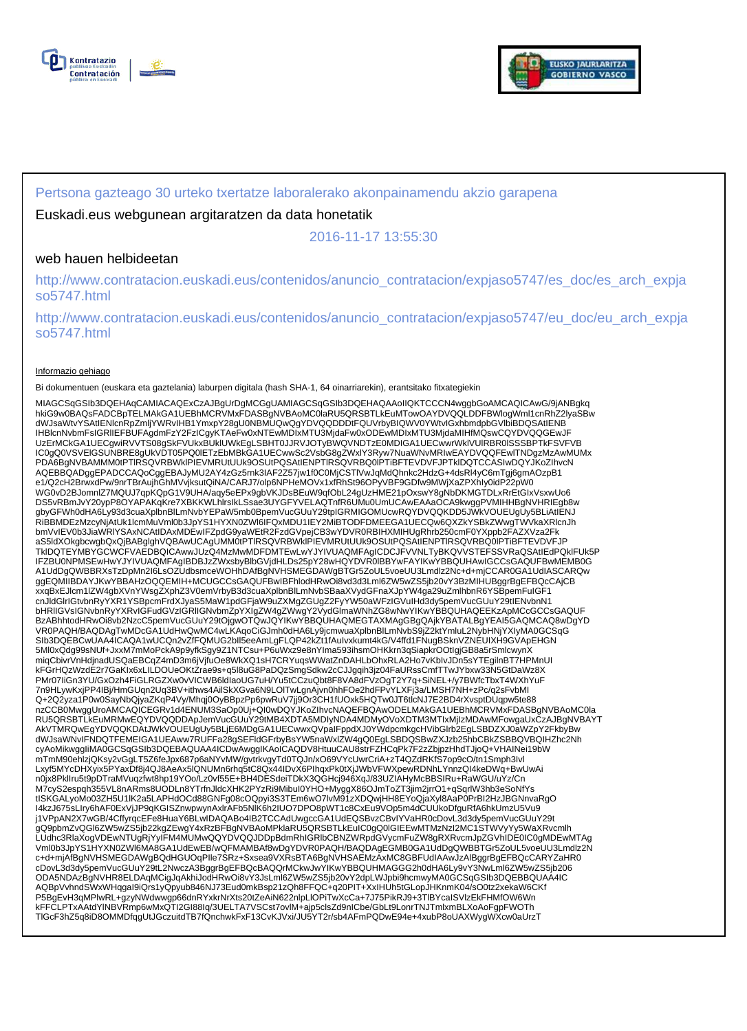



### Pertsona gazteago 30 urteko txertatze laboralerako akonpainamendu akzio garapena

### Euskadi.eus webgunean argitaratzen da data honetatik

2016-11-17 13:55:30

### web hauen helbideetan

http://www.contratacion.euskadi.eus/contenidos/anuncio\_contratacion/expjaso5747/es\_doc/es\_arch\_expja so5747.html

http://www.contratacion.euskadi.eus/contenidos/anuncio\_contratacion/expjaso5747/eu\_doc/eu\_arch\_expja so5747.html

#### Informazio gehiago

Bi dokumentuen (euskara eta gaztelania) laburpen digitala (hash SHA-1, 64 oinarriarekin), erantsitako fitxategiekin

MIAGCSqGSIb3DQEHAqCAMIACAQExCzAJBgUrDgMCGgUAMIAGCSqGSIb3DQEHAQAAoIIQKTCCCN4wggbGoAMCAQICAwG/9jANBgkq hkiG9w0BAQsFADCBpTELMAkGA1UEBhMCRVMxFDASBgNVBAoMC0laRU5QRSBTLkEuMTowOAYDVQQLDDFBWlogWml1cnRhZ2lyaSBw dWJsaWtvYSAtIENlcnRpZmljYWRvIHB1YmxpY28gU0NBMUQwQgYDVQQDDDtFQUVrbyBIQWV0YWtvIGxhbmdpbGVlbiBDQSAtIENB IHBlcnNvbmFsIGRlIEFBUFAgdmFzY2FzICgyKTAeFw0xNTEwMDIxMTU3MjdaFw0xODEwMDIxMTU3MjdaMIHfMQswCQYDVQQGEwJF UzErMCkGA1UECgwiRVVTS08gSkFVUkxBUklUWkEgLSBHT0JJRVJOTyBWQVNDTzE0MDIGA1UECwwrWklVUlRBR0lSSSBPTkFSVFVB IC0gQ0VSVElGSUNBRE8gUkVDT05PQ0lETzEbMBkGA1UECwwSc2VsbG8gZWxlY3Ryw7NuaWNvMRIwEAYDVQQFEwlTNDgzMzAwMUMx PDA6BgNVBAMMM0tPTlRSQVRBWklPIEVMRUtUUk9OSUtPQSAtIENPTlRSQVRBQ0lPTiBFTEVDVFJPTklDQTCCASIwDQYJKoZIhvcN AQEBBQADggEPADCCAQoCggEBAJyMU2AY4zGz5rnk3IAF2Z57jw1f0C0MjCSTIVwJqMdQhnkc2HdzG+4dsRl4yC6mTgj6gmAOzpB1<br>e1/Q2cH2BrwxdPw/9nrTBrAujhGhMVvjksutQiNA/CARJ7/olp6NPHeMOVx1xfRhSt96OPyVBF9GDfw9MWjXaZPXhIy0idP22pW0<br>WG0vD2BJomnlZ7MQUJ7q DS5vRBmJvY20ypP8OYAPAKqKre7XBKKWLhlrsIkLSsae3UYGFYVELAQTnfR6UMu0UmUCAwEAAaOCA9kwggPVMIHHBgNVHRIEgb8w gbyGFWh0dHA6Ly93d3cuaXplbnBlLmNvbYEPaW5mb0BpemVucGUuY29tpIGRMIGOMUcwRQYDVQQKDD5JWkVOUEUgUy5BLiAtIENJ<br>RiBBMDEzMzcyNjAtUk1lcmMuVml0b3JpYS1HYXN0ZWI6IFQxMDU1IEY2MiBTODFDMEEGA1UECQw6QXZkYSBkZWwgTWVkaXRlcnJh bmVvIEV0b3JiaWRIYSAxNCAtIDAxMDEwIFZpdG9yaWEtR2FzdGVpejCB3wYDVR0RBIHXMIHUgRhrb250cmF0YXppb2FAZXVza2Fk<br>aS5ldXOkgbcwgbQxQjBABglghVQBAwUCAgUMM0tPTIRSQVRBWkIPIEVMRUtUUk9OSUtPQSAtIENPTIRSQVRBQ0IPTiBFTEVDVFJP TkIDQTEYMBYGCWCFVAEDBQICAwwJUzQ4MzMwMDFDMTEwLwYJYIVUAQMFAgICDCJFVVNLTyBKQVVSTEFSSVRaQSAtIEdPQkIFUk5P<br>IFZBU0NPMSEwHwYJYIVUAQMFAgIBDBJzZWxsbyBlbGVjdHLDs25pY28wHQYDVR0IBBYwFAYIKwYBBQUHAwIGCCsGAQUFBwMEMB0G A1UdDgQWBBRXsTzDpMn2I6LsOZUdbsmceWOHhDAfBgNVHSMEGDAWgBTGr5ZoUL5voeUU3Lmdlz2Nc+d+mjCCAR0GA1UdIASCARQw ggEQMIIBDAYJKwYBBAHzOQQEMIH+MCUGCCsGAQUFBwIBFhlodHRwOi8vd3d3Lml6ZW5wZS5jb20vY3BzMIHUBggrBgEFBQcCAjCB xxqBxEJlcm1lZW4gbXVnYWsgZXphZ3V0emVrbyB3d3cuaXplbnBlLmNvbSBaaXVydGFnaXJpYW4ga29uZmlhbnR6YSBpemFuIGF1 cnJldGlrIGtvbnRyYXR1YSBpcmFrdXJyaS5MaW1pdGFjaW9uZXMgZGUgZ2FyYW50aWFzIGVuIHd3dy5pemVucGUuY29tIENvbnN1 bHRlIGVsIGNvbnRyYXRvIGFudGVzIGRlIGNvbmZpYXIgZW4gZWwgY2VydGlmaWNhZG8wNwYIKwYBBQUHAQEEKzApMCcGCCsGAQUF BzABhhtodHRwOi8vb2NzcC5pemVucGUuY29tOjgwOTQwJQYIKwYBBQUHAQMEGTAXMAgGBgQAjkYBATALBgYEAI5GAQMCAQ8wDgYD VR0PAQH/BAQDAgTwMDcGA1UdHwQwMC4wLKAqoCiGJmh0dHA6Ly9jcmwuaXplbnBlLmNvbS9jZ2ktYmluL2NybHNjYXIyMA0GCSqG<br>SIb3DQEBCwUAA4ICAQA1wUCQn2vZfFQMUG2bll5eeAmLgFLQP42kZt1fAuIvxkumt4kG/V4ffd1FNugBSknVZNEUIXH9GVApEHGN 5Ml0xQdg99sNUf+JxxM7mMoPckA9p9yfkSgy9Z1NTCsu+P6uWxz9e8nYIma593ihsmOHKkrn3qSiapkrOOtIgjGB8a5rSmlcwynX miqCbivrVnHdjnadUSQaEBCqZ4mD3m6jVjfuOe8WkXQ1sH7CRYuqsWWatZnDAHLbOhxRLA2Ho7vKbIvJDn5sYTEgilnBT7HPMnUI kFGrHQzWzdE2r7GaKIx6xLILDOUeOKtZrae9s+q5l8uG8PaDQzSmgSdkw2cCJJgqih3jz04FaURssCmfTTwJYbxw33N5GtDaWz8X PMr07IiGn3YU/GxOzh4FiGLRGZXw0vVICWB6ldIaoUG7uH/Yu5tCCzuQbt8F8VA8dFVzOgT2Y7q+SiNEL+/y7BWfcTbxT4WXhYuF 7n9HLywKxjPP4IBj/HmGUqn2Uq3BV+ithws4AilSkXGva6N9LOlTwLgnAjvn0hhFOe2hdFPvYLXFj3a/LMSH7NH+zPc/q2sFvbMI Q+2Q2yza1P0w0SayNbQjyaZKqP4Vy/Mhqj0OyBBpzPp6pwRuV7jj9Or3CH1fUOxk5HQTw0JT6tlcNJ7E2BD4rXvsptDUqpw5te88 nzCCB0MwggUroAMCAQICEGRv1d4ENUM3SaOp0Uj+QI0wDQYJKoZIhvcNAQEFBQAwODELMAkGA1UEBhMCRVMxFDASBgNVBAoMC0la<br>RU5QRSBTLkEuMRMwEQYDVQQDDApJemVucGUuY29tMB4XDTA5MDIyNDA4MDMyOVoXDTM3MTIxMjIzMDAwMFowgaUxCzAJBgNVBAYT AkVTMRQwEgYDVQQKDAtJWkVOUEUgUy5BLjE6MDgGA1UECwwxQVpaIFppdXJ0YWdpcmkgcHVibGIrb2EgLSBDZXJ0aWZpY2FkbyBw<br>dWJsaWNvIFNDQTFEMEIGA1UEAww7RUFFa28gSEFIdGFrbyBsYW5naWxlZW4gQ0EgLSBDQSBwZXJzb25hbCBkZSBBQVBQIHZhc2Nh cyAoMikwggIiMA0GCSqGSIb3DQEBAQUAA4ICDwAwggIKAoICAQDV8HtuuCAU8strFZHCqPk7F2zZbjpzHhdTJjoQ+VHAINei19bW mTmM90ehlzjQKsy2vGgLT5Z6feJpx687p6aNYvMW/gvtrkvgyTd0TQJn/xO69VYcUwrCriA+zT4QZdRKfS7op9cO/tn1Smph3Ivl Lxyf5MYcDHXyix5PYaxDf8j4QJ8AeAx5lQNUMn6rhq5tC8Qx44IDvX6PIhqxPk0tXjJWbVFWXpewRDNhLYnnzQI4keDWq+BwUwAi n0jx8PklIru5t9pDTraMVuqzfwt8hp19YOo/Lz0vf55E+BH4DESdeiTDkX3QGHcj946XqJ/83UZIAHyMcBBSIRu+RaWGU/uYz/Cn M7cyS2espqh355VL8nARms8UODLn8YTrfnJldcXHK2PYzRi9MibuI0YHO+MyggX86OJmToZT3jim2jrrO1+qSqrlW3hb3eSoNfYs<br>tISKGALyoMo03ZH5U1IK2a5LAPHdOCd88GNFg08cOQpyi3S3TEm6wO7lvM91zXDQwjHH8EYoQjaXyI8AaP0PrBI2HzJBGNnvaRgO I4kzJ675sLIry6hAF0ExVjJP9qKGISZnwpwynAxlrAFb5NlK6h2IUO7DPO8pWT1c8CxEu9VOp5m4dCUUkoDfguRfA6hkUmzU5Vu9 j1VPpAN2X7wGB/4CffyrqcEFe8HuaY6BLwIDAQABo4IB2TCCAdUwgccGA1UdEQSBvzCBvIYVaHR0cDovL3d3dy5pemVucGUuY29t gQ9pbmZvQGl6ZW5wZS5jb22kgZEwgY4xRzBFBgNVBAoMPklaRU5QRSBTLkEuIC0gQ0IGIEEwMTMzNzI2MC1STWVyYy5WaXRvcmlh<br>LUdhc3RlaXogVDEwNTUgRjYyIFM4MUMwQQYDVQQJDDpBdmRhIGRlbCBNZWRpdGVycmFuZW8gRXRvcmJpZGVhIDE0IC0gMDEwMTAg Vml0b3JpYS1HYXN0ZWl6MA8GA1UdEwEB/wQFMAMBAf8wDgYDVR0PAQH/BAQDAgEGMB0GA1UdDgQWBBTGr5ZoUL5voeUU3Lmdlz2N c+d+mjAfBgNVHSMEGDAWgBQdHGUOqPIle7SRz+Sxsea9VXRsBTA6BgNVHSAEMzAxMC8GBFUdIAAwJzAlBggrBgEFBQcCARYZaHR0 cDovL3d3dy5pemVucGUuY29tL2NwczA3BggrBgEFBQcBAQQrMCkwJwYIKwYBBQUHMAGGG2h0dHA6Ly9vY3NwLml6ZW5wZS5jb206<br>ODA5NDAzBgNVHR8ELDAqMCigJqAkhiJodHRwOi8vY3JsLml6ZW5wZS5jb20vY2dpLWJpbi9hcmwyMA0GCSqGSIb3DQEBBQUAA4IC<br>AQBpVvhndSWxWHqgal9i P5BgEvH3qMPlwRL+gzyNWdwwgp66dnRYxkrNrXts20tZeAiN622nlpLlOPiTwXcCa+7J75PikRJ9+3TlBYcaISVlzEkFHMfOW6Wn kFFCLPTxAAtdYlNBVRmp6wMxQTI2GI88Iq/3UELTA7VSCst7ovlM+ajp5clsZd9nICbe/GbLt9LonrTNJTmlxmBLXoAoFgpFWOTh TlGcF3hZ5q8iD8OMMDfqgUtJGczuitdTB7fQnchwkFxF13CvKJVxi/JU5YT2r/sb4AFmPQDwE94e+4xubP8oUAXWygWXcw0aUrzT